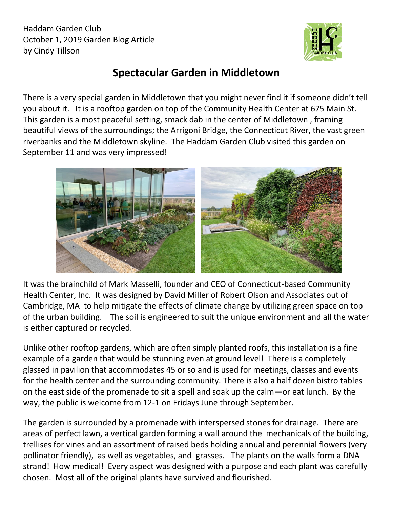Haddam Garden Club October 1, 2019 Garden Blog Article by Cindy Tillson



## **Spectacular Garden in Middletown**

There is a very special garden in Middletown that you might never find it if someone didn't tell you about it. It is a rooftop garden on top of the Community Health Center at 675 Main St. This garden is a most peaceful setting, smack dab in the center of Middletown , framing beautiful views of the surroundings; the Arrigoni Bridge, the Connecticut River, the vast green riverbanks and the Middletown skyline. The Haddam Garden Club visited this garden on September 11 and was very impressed!



It was the brainchild of Mark Masselli, founder and CEO of Connecticut-based Community Health Center, Inc. It was designed by David Miller of Robert Olson and Associates out of Cambridge, MA to help mitigate the effects of climate change by utilizing green space on top of the urban building. The soil is engineered to suit the unique environment and all the water is either captured or recycled.

Unlike other rooftop gardens, which are often simply planted roofs, this installation is a fine example of a garden that would be stunning even at ground level! There is a completely glassed in pavilion that accommodates 45 or so and is used for meetings, classes and events for the health center and the surrounding community. There is also a half dozen bistro tables on the east side of the promenade to sit a spell and soak up the calm—or eat lunch. By the way, the public is welcome from 12-1 on Fridays June through September.

The garden is surrounded by a promenade with interspersed stones for drainage. There are areas of perfect lawn, a vertical garden forming a wall around the mechanicals of the building, trellises for vines and an assortment of raised beds holding annual and perennial flowers (very pollinator friendly), as well as vegetables, and grasses. The plants on the walls form a DNA strand! How medical! Every aspect was designed with a purpose and each plant was carefully chosen. Most all of the original plants have survived and flourished.